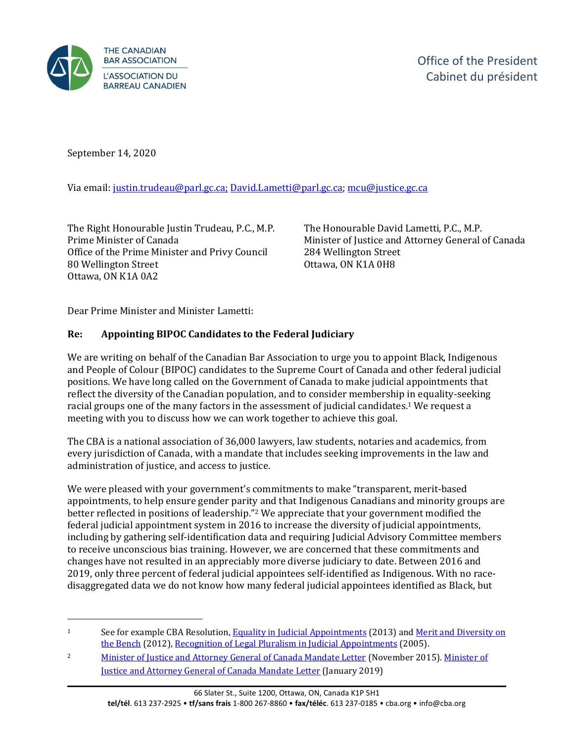

September 14, 2020

Via email: [justin.trudeau@parl.gc.ca;](mailto:justin.trudeau@parl.gc.ca) [David.Lametti@parl.gc.ca;](mailto:David.Lametti@parl.gc.ca) [mcu@justice.gc.ca](mailto:mcu@justice.gc.ca)

The Right Honourable Justin Trudeau, P.C., M.P. Prime Minister of Canada Office of the Prime Minister and Privy Council 80 Wellington Street Ottawa, ON K1A 0A2

The Honourable David Lametti, P.C., M.P. Minister of Justice and Attorney General of Canada 284 Wellington Street Ottawa, ON K1A 0H8

Dear Prime Minister and Minister Lametti:

## **Re: Appointing BIPOC Candidates to the Federal Judiciary**

We are writing on behalf of the Canadian Bar Association to urge you to appoint Black, Indigenous and People of Colour (BIPOC) candidates to the Supreme Court of Canada and other federal judicial positions. We have long called on the Government of Canada to make judicial appointments that reflect the diversity of the Canadian population, and to consider membership in equality-seeking racial groups one of the many factors in the assessment of judicial candidates.<sup>1</sup> We request a meeting with you to discuss how we can work together to achieve this goal.

The CBA is a national association of 36,000 lawyers, law students, notaries and academics, from every jurisdiction of Canada, with a mandate that includes seeking improvements in the law and administration of justice, and access to justice.

We were pleased with your government's commitments to make "transparent, merit-based appointments, to help ensure gender parity and that Indigenous Canadians and minority groups are better reflected in positions of leadership."<sup>2</sup> We appreciate that your government modified the federal judicial appointment system in 2016 to increase the diversity of judicial appointments, including by gathering self-identification data and requiring Judicial Advisory Committee members to receive unconscious bias training. However, we are concerned that these commitments and changes have not resulted in an appreciably more diverse judiciary to date. Between 2016 and 2019, only three percent of federal judicial appointees self-identified as Indigenous. With no racedisaggregated data we do not know how many federal judicial appointees identified as Black, but

<sup>&</sup>lt;sup>1</sup> See for example CBA Resolution[, Equality in Judicial Appointments](https://www.cba.org/getattachment/Our-Work/Resolutions/Resolutions/2013/Equality-in-Judicial-Appointments/13-04-A-ct.pdf) (2013) and Merit and Diversity on [the Bench](https://www.cba.org/CMSPages/GetFile.aspx?guid=3a8c1b05-c4e7-414c-9655-92dde62085e5) (2012)[, Recognition of Legal Pluralism in Judicial Appointments](https://www.cba.org/getattachment/Our-Work/Resolutions/Resolutions/2005/Recognition-of-Legal-Pluralism-in-Judicial-Appoint/05-01-A.pdf) (2005).

<sup>2</sup> [Minister of Justice and Attorney General of Canada Mandate Letter](https://pm.gc.ca/en/mandate-letters/2015/11/12/archived-minister-justice-and-attorney-general-canada-mandate-letter) (November 2015). Minister of [Justice and Attorney General of Canada Mandate Letter](https://pm.gc.ca/en/mandate-letters/2019/12/13/minister-justice-and-attorney-general-canada-mandate-letter) (January 2019)